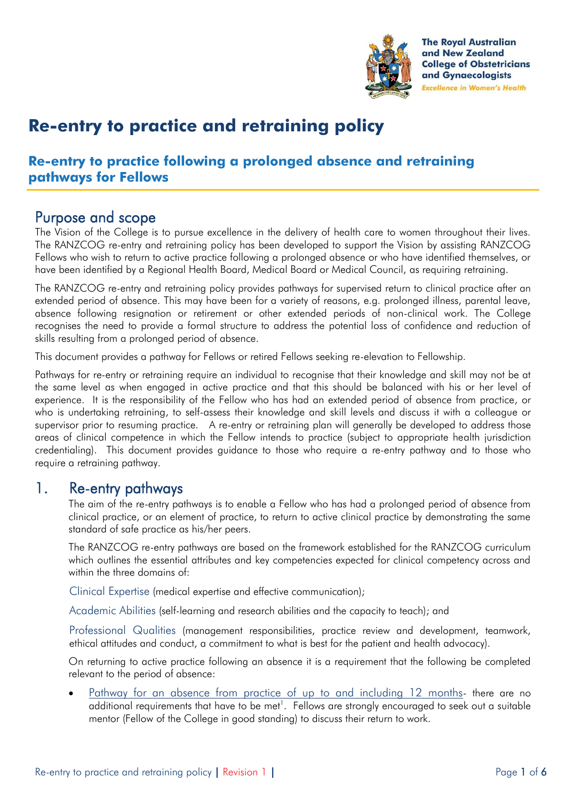

# **Re-entry to practice and retraining policy**

## **Re-entry to practice following a prolonged absence and retraining pathways for Fellows**

## Purpose and scope

The Vision of the College is to pursue excellence in the delivery of health care to women throughout their lives. The RANZCOG re-entry and retraining policy has been developed to support the Vision by assisting RANZCOG Fellows who wish to return to active practice following a prolonged absence or who have identified themselves, or have been identified by a Regional Health Board, Medical Board or Medical Council, as requiring retraining.

The RANZCOG re-entry and retraining policy provides pathways for supervised return to clinical practice after an extended period of absence. This may have been for a variety of reasons, e.g. prolonged illness, parental leave, absence following resignation or retirement or other extended periods of non-clinical work. The College recognises the need to provide a formal structure to address the potential loss of confidence and reduction of skills resulting from a prolonged period of absence.

This document provides a pathway for Fellows or retired Fellows seeking re-elevation to Fellowship.

Pathways for re-entry or retraining require an individual to recognise that their knowledge and skill may not be at the same level as when engaged in active practice and that this should be balanced with his or her level of experience. It is the responsibility of the Fellow who has had an extended period of absence from practice, or who is undertaking retraining, to self-assess their knowledge and skill levels and discuss it with a colleague or supervisor prior to resuming practice. A re-entry or retraining plan will generally be developed to address those areas of clinical competence in which the Fellow intends to practice (subject to appropriate health jurisdiction credentialing). This document provides guidance to those who require a re-entry pathway and to those who require a retraining pathway.

### 1. Re-entry pathways

The aim of the re-entry pathways is to enable a Fellow who has had a prolonged period of absence from clinical practice, or an element of practice, to return to active clinical practice by demonstrating the same standard of safe practice as his/her peers.

The RANZCOG re-entry pathways are based on the framework established for the RANZCOG curriculum which outlines the essential attributes and key competencies expected for clinical competency across and within the three domains of:

Clinical Expertise (medical expertise and effective communication);

Academic Abilities (self-learning and research abilities and the capacity to teach); and

Professional Qualities (management responsibilities, practice review and development, teamwork, ethical attitudes and conduct, a commitment to what is best for the patient and health advocacy).

On returning to active practice following an absence it is a requirement that the following be completed relevant to the period of absence:

 Pathway for an absence from practice of up to and including 12 months- there are no additional requirements that have to be met $^{\text{l}}$ . Fellows are strongly encouraged to seek out a suitable mentor (Fellow of the College in good standing) to discuss their return to work.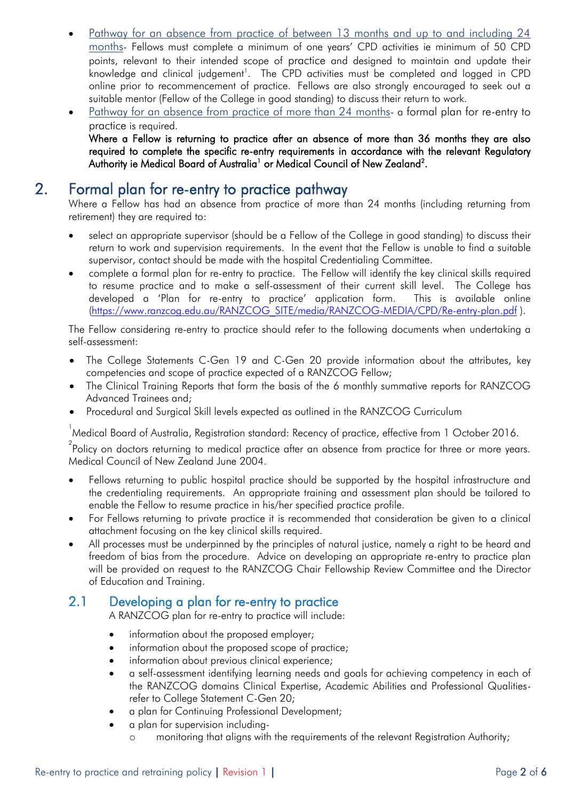- Pathway for an absence from practice of between 13 months and up to and including 24 months- Fellows must complete a minimum of one years' CPD activities ie minimum of 50 CPD points, relevant to their intended scope of practice and designed to maintain and update their knowledge and clinical judgement<sup>1</sup>. The CPD activities must be completed and logged in CPD online prior to recommencement of practice. Fellows are also strongly encouraged to seek out a suitable mentor (Fellow of the College in good standing) to discuss their return to work.
- Pathway for an absence from practice of more than 24 months- a formal plan for re-entry to practice is required.

Where a Fellow is returning to practice after an absence of more than 36 months they are also required to complete the specific re-entry requirements in accordance with the relevant Regulatory Authority ie Medical Board of Australia<sup>1</sup> or Medical Council of New Zealand<sup>2</sup>.

## 2. Formal plan for re-entry to practice pathway

Where a Fellow has had an absence from practice of more than 24 months (including returning from retirement) they are required to:

- select an appropriate supervisor (should be a Fellow of the College in good standing) to discuss their return to work and supervision requirements. In the event that the Fellow is unable to find a suitable supervisor, contact should be made with the hospital Credentialing Committee.
- complete a formal plan for re-entry to practice. The Fellow will identify the key clinical skills required to resume practice and to make a self-assessment of their current skill level. The College has developed a 'Plan for re-entry to practice' application form. This is available online [\(https://www.ranzcog.edu.au/RANZCOG\\_SITE/media/RANZCOG-MEDIA/CPD/Re-entry-plan.pdf](https://www.ranzcog.edu.au/RANZCOG_SITE/media/RANZCOG-MEDIA/CPD/Re-entry-plan.pdf) ).

The Fellow considering re-entry to practice should refer to the following documents when undertaking a self-assessment:

- The College Statements C-Gen 19 and C-Gen 20 provide information about the attributes, key competencies and scope of practice expected of a RANZCOG Fellow;
- The Clinical Training Reports that form the basis of the 6 monthly summative reports for RANZCOG Advanced Trainees and;
- Procedural and Surgical Skill levels expected as outlined in the RANZCOG Curriculum

 $\,$  Medical Board of Australia, Registration standard: Recency of practice, effective from 1 October 2016.

 $^{2}$ Policy on doctors returning to medical practice after an absence from practice for three or more years. Medical Council of New Zealand June 2004.

- Fellows returning to public hospital practice should be supported by the hospital infrastructure and the credentialing requirements. An appropriate training and assessment plan should be tailored to enable the Fellow to resume practice in his/her specified practice profile.
- For Fellows returning to private practice it is recommended that consideration be given to a clinical attachment focusing on the key clinical skills required.
- All processes must be underpinned by the principles of natural justice, namely a right to be heard and freedom of bias from the procedure. Advice on developing an appropriate re-entry to practice plan will be provided on request to the RANZCOG Chair Fellowship Review Committee and the Director of Education and Training.

#### 2.1 Developing a plan for re-entry to practice

A RANZCOG plan for re-entry to practice will include:

- information about the proposed employer;
- information about the proposed scope of practice;
- information about previous clinical experience;
- a self-assessment identifying learning needs and goals for achieving competency in each of the RANZCOG domains Clinical Expertise, Academic Abilities and Professional Qualitiesrefer to College Statement C-Gen 20;
- a plan for Continuing Professional Development;
- a plan for supervision including
	- o monitoring that aligns with the requirements of the relevant Registration Authority;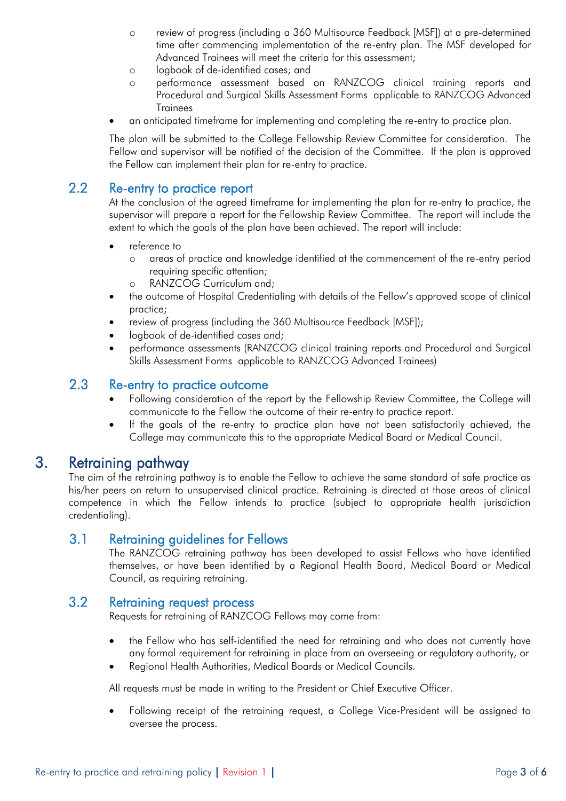- o review of progress (including a 360 Multisource Feedback [MSF]) at a pre-determined time after commencing implementation of the re-entry plan. The MSF developed for Advanced Trainees will meet the criteria for this assessment;
- o logbook of de-identified cases; and
- o performance assessment based on RANZCOG clinical training reports and Procedural and Surgical Skills Assessment Forms applicable to RANZCOG Advanced **Trainees**
- an anticipated timeframe for implementing and completing the re-entry to practice plan.

The plan will be submitted to the College Fellowship Review Committee for consideration. The Fellow and supervisor will be notified of the decision of the Committee. If the plan is approved the Fellow can implement their plan for re-entry to practice.

#### 2.2 Re-entry to practice report

At the conclusion of the agreed timeframe for implementing the plan for re-entry to practice, the supervisor will prepare a report for the Fellowship Review Committee. The report will include the extent to which the goals of the plan have been achieved. The report will include:

- reference to
	- o areas of practice and knowledge identified at the commencement of the re-entry period requiring specific attention;
	- o RANZCOG Curriculum and;
- the outcome of Hospital Credentialing with details of the Fellow's approved scope of clinical practice;
- review of progress (including the 360 Multisource Feedback [MSF]);
- logbook of de-identified cases and;
- performance assessments (RANZCOG clinical training reports and Procedural and Surgical Skills Assessment Forms applicable to RANZCOG Advanced Trainees)

#### 2.3 Re-entry to practice outcome

- Following consideration of the report by the Fellowship Review Committee, the College will communicate to the Fellow the outcome of their re-entry to practice report.
- If the goals of the re-entry to practice plan have not been satisfactorily achieved, the College may communicate this to the appropriate Medical Board or Medical Council.

### 3. Retraining pathway

The aim of the retraining pathway is to enable the Fellow to achieve the same standard of safe practice as his/her peers on return to unsupervised clinical practice. Retraining is directed at those areas of clinical competence in which the Fellow intends to practice (subject to appropriate health jurisdiction credentialing).

#### 3.1 Retraining guidelines for Fellows

The RANZCOG retraining pathway has been developed to assist Fellows who have identified themselves, or have been identified by a Regional Health Board, Medical Board or Medical Council, as requiring retraining.

#### 3.2 Retraining request process

Requests for retraining of RANZCOG Fellows may come from:

- the Fellow who has self-identified the need for retraining and who does not currently have any formal requirement for retraining in place from an overseeing or regulatory authority, or
- Regional Health Authorities, Medical Boards or Medical Councils.

All requests must be made in writing to the President or Chief Executive Officer.

 Following receipt of the retraining request, a College Vice-President will be assigned to oversee the process.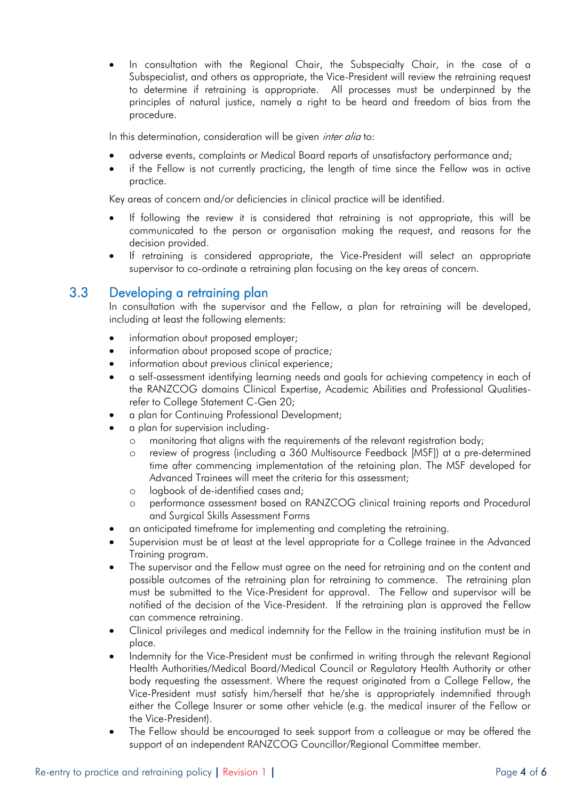In consultation with the Regional Chair, the Subspecialty Chair, in the case of a Subspecialist, and others as appropriate, the Vice-President will review the retraining request to determine if retraining is appropriate. All processes must be underpinned by the principles of natural justice, namely a right to be heard and freedom of bias from the procedure.

In this determination, consideration will be given *inter alia* to:

- adverse events, complaints or Medical Board reports of unsatisfactory performance and;
- if the Fellow is not currently practicing, the length of time since the Fellow was in active practice.

Key areas of concern and/or deficiencies in clinical practice will be identified.

- If following the review it is considered that retraining is not appropriate, this will be communicated to the person or organisation making the request, and reasons for the decision provided.
- If retraining is considered appropriate, the Vice-President will select an appropriate supervisor to co-ordinate a retraining plan focusing on the key areas of concern.

#### 3.3 Developing a retraining plan

In consultation with the supervisor and the Fellow, a plan for retraining will be developed, including at least the following elements:

- information about proposed employer;
- information about proposed scope of practice;
- information about previous clinical experience;
- a self-assessment identifying learning needs and goals for achieving competency in each of the RANZCOG domains Clinical Expertise, Academic Abilities and Professional Qualitiesrefer to College Statement C-Gen 20;
- a plan for Continuing Professional Development;
- a plan for supervision including
	- o monitoring that aligns with the requirements of the relevant registration body;
	- o review of progress (including a 360 Multisource Feedback [MSF]) at a pre-determined time after commencing implementation of the retaining plan. The MSF developed for Advanced Trainees will meet the criteria for this assessment;
	- o logbook of de-identified cases and;
	- o performance assessment based on RANZCOG clinical training reports and Procedural and Surgical Skills Assessment Forms
- an anticipated timeframe for implementing and completing the retraining.
- Supervision must be at least at the level appropriate for a College trainee in the Advanced Training program.
- The supervisor and the Fellow must agree on the need for retraining and on the content and possible outcomes of the retraining plan for retraining to commence. The retraining plan must be submitted to the Vice-President for approval. The Fellow and supervisor will be notified of the decision of the Vice-President. If the retraining plan is approved the Fellow can commence retraining.
- Clinical privileges and medical indemnity for the Fellow in the training institution must be in place.
- Indemnity for the Vice-President must be confirmed in writing through the relevant Regional Health Authorities/Medical Board/Medical Council or Regulatory Health Authority or other body requesting the assessment. Where the request originated from a College Fellow, the Vice-President must satisfy him/herself that he/she is appropriately indemnified through either the College Insurer or some other vehicle (e.g. the medical insurer of the Fellow or the Vice-President).
- The Fellow should be encouraged to seek support from a colleague or may be offered the support of an independent RANZCOG Councillor/Regional Committee member.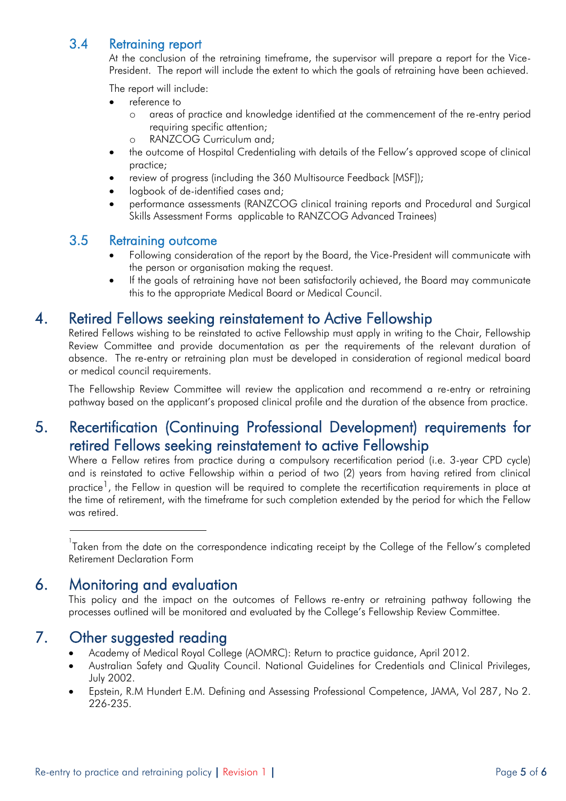### 3.4 Retraining report

At the conclusion of the retraining timeframe, the supervisor will prepare a report for the Vice-President. The report will include the extent to which the goals of retraining have been achieved.

The report will include:

- reference to
	- o areas of practice and knowledge identified at the commencement of the re-entry period requiring specific attention;
	- o RANZCOG Curriculum and;
- the outcome of Hospital Credentialing with details of the Fellow's approved scope of clinical practice;
- review of progress (including the 360 Multisource Feedback [MSF]);
- logbook of de-identified cases and;
- performance assessments (RANZCOG clinical training reports and Procedural and Surgical Skills Assessment Forms applicable to RANZCOG Advanced Trainees)

#### 3.5 Retraining outcome

- Following consideration of the report by the Board, the Vice-President will communicate with the person or organisation making the request.
- If the goals of retraining have not been satisfactorily achieved, the Board may communicate this to the appropriate Medical Board or Medical Council.

## 4. Retired Fellows seeking reinstatement to Active Fellowship

Retired Fellows wishing to be reinstated to active Fellowship must apply in writing to the Chair, Fellowship Review Committee and provide documentation as per the requirements of the relevant duration of absence. The re-entry or retraining plan must be developed in consideration of regional medical board or medical council requirements.

The Fellowship Review Committee will review the application and recommend a re-entry or retraining pathway based on the applicant's proposed clinical profile and the duration of the absence from practice.

## 5. Recertification (Continuing Professional Development) requirements for retired Fellows seeking reinstatement to active Fellowship

Where a Fellow retires from practice during a compulsory recertification period (i.e. 3-year CPD cycle) and is reinstated to active Fellowship within a period of two (2) years from having retired from clinical practice<sup>1</sup>, the Fellow in question will be required to complete the recertification requirements in place at the time of retirement, with the timeframe for such completion extended by the period for which the Fellow was retired.

 $^{\text{1}}$ Taken from the date on the correspondence indicating receipt by the College of the Fellow's completed Retirement Declaration Form

## 6. Monitoring and evaluation

This policy and the impact on the outcomes of Fellows re-entry or retraining pathway following the processes outlined will be monitored and evaluated by the College's Fellowship Review Committee.

## 7. Other suggested reading

- Academy of Medical Royal College (AOMRC): Return to practice guidance, April 2012.
- Australian Safety and Quality Council. National Guidelines for Credentials and Clinical Privileges, July 2002.
- Epstein, R.M Hundert E.M. Defining and Assessing Professional Competence, JAMA, Vol 287, No 2. 226-235.